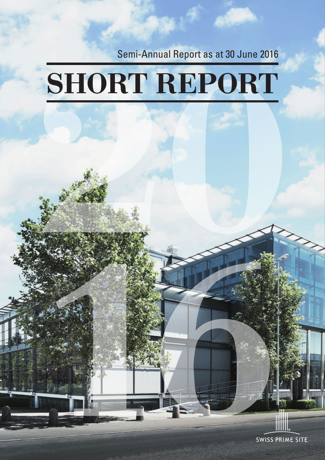Semi-Annual Report as at 30 June 2016

# SHORT REPORT

**SWISS PRIME SITE**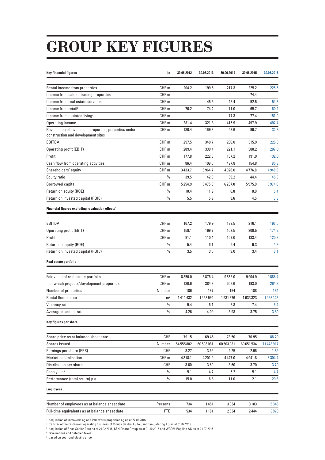# GROUP KEY FIGURES

| <b>Key financial figures</b>                                                                 | in               | 30.06.2012 | 30.06.2013 | 30.06.2014 | 30.06.2015 | 30.06.2016 |
|----------------------------------------------------------------------------------------------|------------------|------------|------------|------------|------------|------------|
|                                                                                              |                  |            |            |            |            |            |
| Rental income from properties                                                                | CHF <sub>m</sub> | 204.2      | 199.5      | 217.3      | 225.2      | 225.5      |
| Income from sale of trading properties                                                       | CHF <sub>m</sub> |            |            |            | 74.4       |            |
| Income from real estate services <sup>1</sup>                                                | CHF <sub>m</sub> |            | 45.6       | 48.4       | 52.5       | 54.8       |
| Income from retail <sup>2</sup>                                                              | CHF <sub>m</sub> | 76.2       | 74.2       | 71.0       | 65.7       | 60.2       |
| Income from assisted living <sup>3</sup>                                                     | CHF <sub>m</sub> |            |            | 77.3       | 77.4       | 151.9      |
| Operating income                                                                             | CHF <sub>m</sub> | 281.4      | 321.3      | 415.9      | 497.9      | 497.4      |
| Revaluation of investment properties, properties under<br>construction and development sites | CHF <sub>m</sub> | 130.4      | 169.8      | 53.6       | 99.7       | 32.8       |
| EBITDA                                                                                       | CHF <sub>m</sub> | 297.5      | 349.7      | 236.0      | 315.9      | 226.3      |
| Operating profit (EBIT)                                                                      | CHF <sub>m</sub> | 289.4      | 339.4      | 221.1      | 300.2      | 207.0      |
| Profit                                                                                       | CHF <sub>m</sub> | 177.8      | 222.3      | 137.2      | 191.0      | 132.0      |
| Cash flow from operating activities                                                          | CHF <sub>m</sub> | 86.4       | 109.5      | 497.8      | 154.8      | 85.3       |
| Shareholders' equity                                                                         | CHF <sub>m</sub> | 3433.7     | 3964.7     | 4026.0     | 4776.8     | 4948.6     |
| Equity ratio                                                                                 | %                | 39.5       | 42.0       | 39.2       | 44.4       | 45.3       |
| Borrowed capital                                                                             | CHF <sub>m</sub> | 5254.9     | 5475.0     | 6237.0     | 5975.9     | 5974.0     |
| Return on equity (ROE)                                                                       | %                | 10.4       | 11.9       | 6.8        | 8.9        | 5.4        |
| Return on invested capital (ROIC)                                                            | %                | 5.5        | 5.9        | 3.6        | 4.5        | 3.3        |
| Financial figures excluding revaluation effects <sup>4</sup>                                 |                  |            |            |            |            |            |
| EBITDA                                                                                       | CHF <sub>m</sub> | 167.2      | 179.9      | 182.5      | 216.1      | 193.5      |
| Operating profit (EBIT)                                                                      | CHF <sub>m</sub> | 159.1      | 169.7      | 167.5      | 200.5      | 174.2      |
| Profit                                                                                       | CHF <sub>m</sub> | 91.1       | 110.4      | 107.0      | 133.4      | 120.3      |
| Return on equity (ROE)                                                                       | %                | 5.4        | 6.1        | 5.4        | 6.3        | 4.9        |
| Return on invested capital (ROIC)                                                            | $\frac{0}{0}$    | 3.5        | 3.5        | 3.0        | 3.4        | 3.1        |
| Real estate portfolio                                                                        |                  |            |            |            |            |            |
|                                                                                              |                  |            |            |            |            |            |
| Fair value of real estate portfolio                                                          | CHF <sub>m</sub> | 8350.0     | 8876.4     | 9558.0     | 9904.9     | 9886.4     |
| of which projects/development properties                                                     | CHF m            | 130.6      | 384.8      | 602.6      | 193.0      | 264.3      |
| Number of properties                                                                         | Number           | 186        | 187        | 194        | 188        | 184        |
| Rental floor space                                                                           | m <sup>2</sup>   | 1411432    | 1453994    | 1531876    | 1633323    | 1498123    |
| Vacancy rate                                                                                 | $\%$             | 5.4        | 6.1        | 6.8        | 7.4        | 6.4        |
| Average discount rate                                                                        | $\%$             | 4.26       | 4.09       | $3.98\,$   | 3.75       | 3.60       |
| Key figures per share                                                                        |                  |            |            |            |            |            |
| Share price as at balance sheet date                                                         | CHF              | 79.15      | 69.45      | 73.50      | 70.95      | 88.20      |
| Shares issued                                                                                | Number           | 54 555 802 | 60 503 081 | 60 503 081 | 69651534   | 71478917   |
| Earnings per share (EPS)                                                                     | CHF              | 3.27       | 3.69       | 2.25       | 2.96       | 1.89       |
| Market capitalisation                                                                        | CHF m            | 4318.1     | 4201.9     | 4447.0     | 4941.8     | 6304.4     |
| Distribution per share                                                                       | CHF              | 3.60       | 3.60       | 3.60       | 3.70       | 3.70       |
| Cash yield <sup>5</sup>                                                                      | $\%$             | 5.1        | 4.7        | 5.2        | 5.1        | 4.7        |
| Performance (total return) p.a.                                                              | $\%$             | 15.0       | $-6.8$     | 11.0       | 2.1        | 29.8       |
| <b>Employees</b>                                                                             |                  |            |            |            |            |            |
| Number of employees as at balance sheet date                                                 | Persons          | 734        | 1451       | 3034       | 3183       | 5346       |
| Full-time equivalents as at balance sheet date                                               | <b>FTE</b>       | 534        | 1181       | 2334       | 2444       | 3976       |
|                                                                                              |                  |            |            |            |            |            |

1 acquisition of immoveris ag and immoveris properties ag as at 27.05.2016

2 transfer of the restaurant operating business of Clouds Gastro AG to Candrian Catering AG as at 01.07.2015

 $^{\rm 3}$  acquisition of Boas Senior Care as at 29.02.2016, SENIOcare Group as at 01.10.2015 and WGDM Papillon AG as at 01.07.2015<br><sup>4</sup> revaluations and deferred taxes<br><sup>5</sup> based on year-end closing price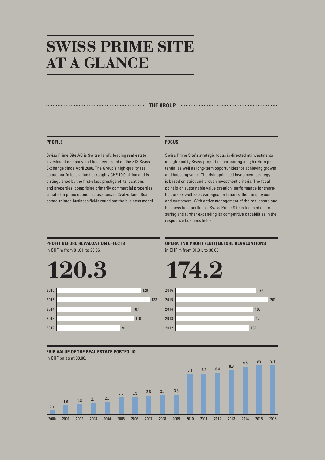### SWISS PRIME SITE AT A GLANCE

#### **THE GROUP CONFIDENTIAL CONTINUES INTO A REGISTER OF A REGISTER OF A REGISTER OF A REGISTER OF A REGISTER OF A REGISTER OF A REGISTER OF A REGISTER OF A REGISTER OF A REGISTER OF A REGISTER OF A REGISTER OF A REGISTER OF**

#### **PROFILE**

Swiss Prime Site AG is Switzerland's leading real estate investment company and has been listed on the SIX Swiss Exchange since April 2000. The Group's high-quality real estate portfolio is valued at roughly CHF 10.0 billion and is distinguished by the first-class prestige of its locations and properties, comprising primarily commercial properties situated in prime economic locations in Switzerland. Real estate-related business fields round out the business model.

#### **FOCUS**

Swiss Prime Site's strategic focus is directed at investments in high-quality Swiss properties harbouring a high return potential as well as long-term opportunities for achieving growth and boosting value. The risk-optimised investment strategy is based on strict and proven investment criteria. The focal point is on sustainable value creation: performance for shareholders as well as advantages for tenants, their employees and customers. With active management of the real estate and business field portfolios, Swiss Prime Site is focused on ensuring and further expanding its competitive capabilities in the respective business fields.

**PROFIT BEFORE REVALUATION EFFECTS** in CHF m from 01.01. to 30.06.





**OPERATING PROFIT (EBIT) BEFORE REVALUATIONS** in CHF m from 01.01. to 30.06.





**FAIR VALUE OF THE REAL ESTATE PORTFOLIO** in CHF bn as at 30.06.

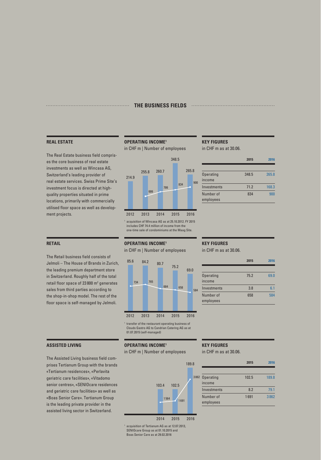#### **THE BUSINESS FIELDS**

#### **REAL ESTATE**

**RETAIL**

The Real Estate business field comprises the core business of real estate investments as well as Wincasa AG, Switzerland's leading provider of real estate services. Swiss Prime Site's investment focus is directed at highquality properties situated in prime locations, primarily with commercially utilised floor space as well as development projects.

The Retail business field consists of Jelmoli – The House of Brands in Zurich, the leading premium department store in Switzerland. Roughly half of the total retail floor space of  $23800 \text{ m}^2$  generates sales from third parties according to the shop-in-shop model. The rest of the floor space is self-managed by Jelmoli.

### **OPERATING INCOME1**

in CHF m | Number of employees



<sup>1</sup> acquisition of Wincasa AG as at 25.10.2012. FY 2015 includes CHF 74.4 million of income from the one-time sale of condominiums at the Maag Site.

#### **OPERATING INCOME1**

in CHF m | Number of employees



<sup>1</sup> transfer of the restaurant operating business of Clouds Gastro AG to Candrian Catering AG as at 01.07.2015 (self-managed)

#### **ASSISTED LIVING**

The Assisted Living business field comprises Tertianum Group with the brands «Tertianum residences», «Perlavita geriatric care facilities», «Vitadomo senior centres», «SENIOcare residences and geriatric care facilities» as well as «Boas Senior Care». Tertianum Group is the leading private provider in the assisted living sector in Switzerland.

#### **OPERATING INCOME1**

in CHF m | Number of employees



<sup>1</sup> acquisition of Tertianum AG as at 12.07.2013, SENIOcare Group as at 01.10.2015 and Boas Senior Care as at 29.02.2016

### **KEY FIGURES**

in CHF m as at 30.06.

|                            | 2015  | 2016  |  |
|----------------------------|-------|-------|--|
|                            |       |       |  |
| <b>Operating</b><br>income | 348.5 | 265.8 |  |
| Investments                | 71.2  | 168.3 |  |
| Number of<br>employees     | 834   | 900   |  |

#### **KEY FIGURES**

in CHF m as at 30.06.

|                            | 2015 | Ŀ    |
|----------------------------|------|------|
|                            |      |      |
| <b>Operating</b><br>income | 75.2 | 69.0 |
| Investments                | 3.8  | 6 1  |
| Number of<br>employees     | 658  | 584  |
|                            |      |      |

### **KEY FIGURES**

in CHF m as at 30.06.

|                            | 2015  | 2016  |
|----------------------------|-------|-------|
|                            |       |       |
| <b>Operating</b><br>income | 102.5 | 189.8 |
| Investments                | 8.2   | 79.1  |
| Number of<br>employees     | 1691  | 3862  |
|                            |       |       |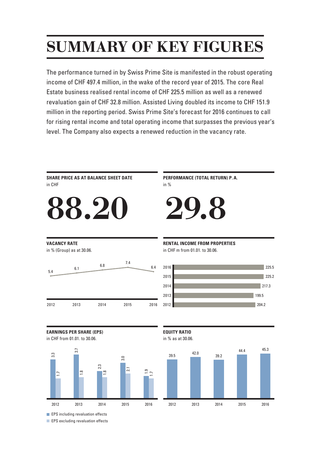# SUMMARY OF KEY FIGURES

The performance turned in by Swiss Prime Site is manifested in the robust operating income of CHF 497.4 million, in the wake of the record year of 2015. The core Real Estate business realised rental income of CHF 225.5 million as well as a renewed revaluation gain of CHF 32.8 million. Assisted Living doubled its income to CHF 151.9 million in the reporting period. Swiss Prime Site's forecast for 2016 continues to call for rising rental income and total operating income that surpasses the previous year's level. The Company also expects a renewed reduction in the vacancy rate.